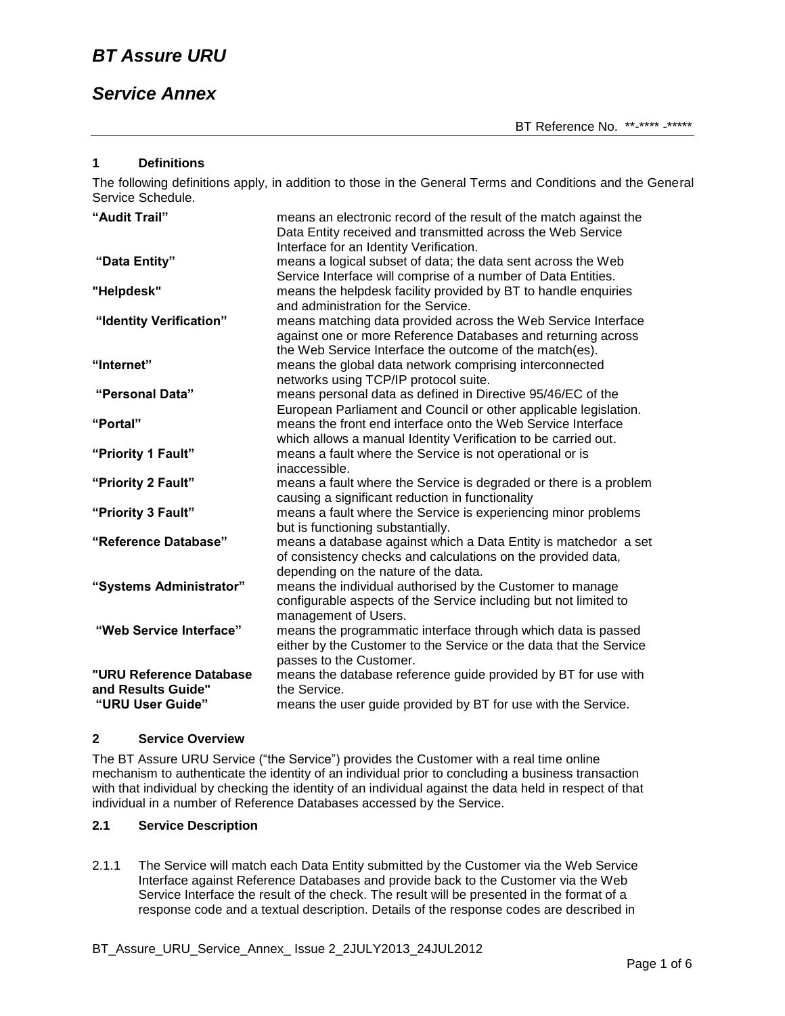## *Service Annex*

#### **1 Definitions**

The following definitions apply, in addition to those in the General Terms and Conditions and the General Service Schedule.

| "Audit Trail"                                                     | means an electronic record of the result of the match against the<br>Data Entity received and transmitted across the Web Service<br>Interface for an Identity Verification.              |
|-------------------------------------------------------------------|------------------------------------------------------------------------------------------------------------------------------------------------------------------------------------------|
| "Data Entity"                                                     | means a logical subset of data; the data sent across the Web<br>Service Interface will comprise of a number of Data Entities.                                                            |
| "Helpdesk"                                                        | means the helpdesk facility provided by BT to handle enquiries<br>and administration for the Service.                                                                                    |
| "Identity Verification"                                           | means matching data provided across the Web Service Interface<br>against one or more Reference Databases and returning across<br>the Web Service Interface the outcome of the match(es). |
| "Internet"                                                        | means the global data network comprising interconnected<br>networks using TCP/IP protocol suite.                                                                                         |
| "Personal Data"                                                   | means personal data as defined in Directive 95/46/EC of the<br>European Parliament and Council or other applicable legislation.                                                          |
| "Portal"                                                          | means the front end interface onto the Web Service Interface<br>which allows a manual Identity Verification to be carried out.                                                           |
| "Priority 1 Fault"                                                | means a fault where the Service is not operational or is<br>inaccessible.                                                                                                                |
| "Priority 2 Fault"                                                | means a fault where the Service is degraded or there is a problem<br>causing a significant reduction in functionality                                                                    |
| "Priority 3 Fault"                                                | means a fault where the Service is experiencing minor problems<br>but is functioning substantially.                                                                                      |
| "Reference Database"                                              | means a database against which a Data Entity is matchedor a set<br>of consistency checks and calculations on the provided data,<br>depending on the nature of the data.                  |
| "Systems Administrator"                                           | means the individual authorised by the Customer to manage<br>configurable aspects of the Service including but not limited to<br>management of Users.                                    |
| "Web Service Interface"                                           | means the programmatic interface through which data is passed<br>either by the Customer to the Service or the data that the Service<br>passes to the Customer.                           |
| "URU Reference Database<br>and Results Guide"<br>"URU User Guide" | means the database reference guide provided by BT for use with<br>the Service.<br>means the user guide provided by BT for use with the Service.                                          |

#### **2 Service Overview**

The BT Assure URU Service ("the Service") provides the Customer with a real time online mechanism to authenticate the identity of an individual prior to concluding a business transaction with that individual by checking the identity of an individual against the data held in respect of that individual in a number of Reference Databases accessed by the Service.

## **2.1 Service Description**

2.1.1 The Service will match each Data Entity submitted by the Customer via the Web Service Interface against Reference Databases and provide back to the Customer via the Web Service Interface the result of the check. The result will be presented in the format of a response code and a textual description. Details of the response codes are described in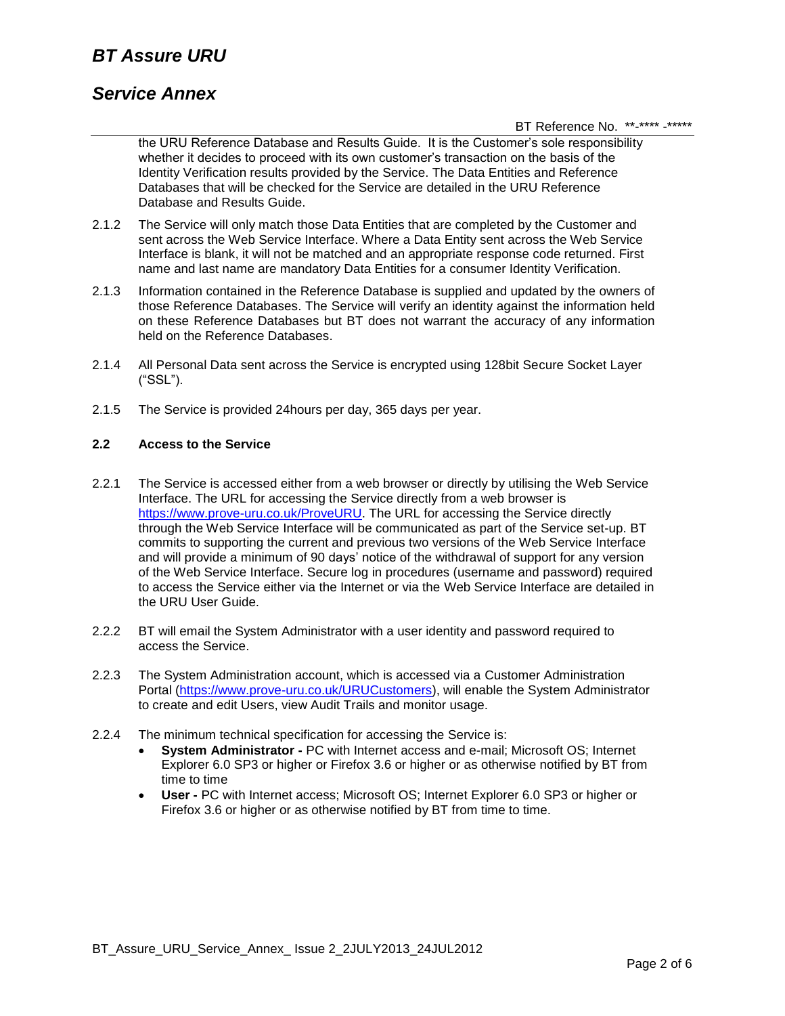# *BT Assure URU*

## *Service Annex*

BT Reference No. \*\*-\*\*\*\* -\*\*\*\*\*

the URU Reference Database and Results Guide. It is the Customer's sole responsibility whether it decides to proceed with its own customer's transaction on the basis of the Identity Verification results provided by the Service. The Data Entities and Reference Databases that will be checked for the Service are detailed in the URU Reference Database and Results Guide.

- 2.1.2 The Service will only match those Data Entities that are completed by the Customer and sent across the Web Service Interface. Where a Data Entity sent across the Web Service Interface is blank, it will not be matched and an appropriate response code returned. First name and last name are mandatory Data Entities for a consumer Identity Verification.
- 2.1.3 Information contained in the Reference Database is supplied and updated by the owners of those Reference Databases. The Service will verify an identity against the information held on these Reference Databases but BT does not warrant the accuracy of any information held on the Reference Databases.
- 2.1.4 All Personal Data sent across the Service is encrypted using 128bit Secure Socket Layer ("SSL").
- 2.1.5 The Service is provided 24hours per day, 365 days per year.

#### **2.2 Access to the Service**

- 2.2.1 The Service is accessed either from a web browser or directly by utilising the Web Service Interface. The URL for accessing the Service directly from a web browser is [https://www.prove-uru.co.uk/ProveURU.](https://www.prove-uru.co.uk/ProveURU) The URL for accessing the Service directly through the Web Service Interface will be communicated as part of the Service set-up. BT commits to supporting the current and previous two versions of the Web Service Interface and will provide a minimum of 90 days' notice of the withdrawal of support for any version of the Web Service Interface. Secure log in procedures (username and password) required to access the Service either via the Internet or via the Web Service Interface are detailed in the URU User Guide.
- 2.2.2 BT will email the System Administrator with a user identity and password required to access the Service.
- 2.2.3 The System Administration account, which is accessed via a Customer Administration Portal [\(https://www.prove-uru.co.uk/URUCustomers\)](https://www.prove-uru.co.uk/URUCustomers), will enable the System Administrator to create and edit Users, view Audit Trails and monitor usage.
- 2.2.4 The minimum technical specification for accessing the Service is:
	- **System Administrator -** PC with Internet access and e-mail; Microsoft OS; Internet Explorer 6.0 SP3 or higher or Firefox 3.6 or higher or as otherwise notified by BT from time to time
	- **User -** PC with Internet access; Microsoft OS; Internet Explorer 6.0 SP3 or higher or Firefox 3.6 or higher or as otherwise notified by BT from time to time.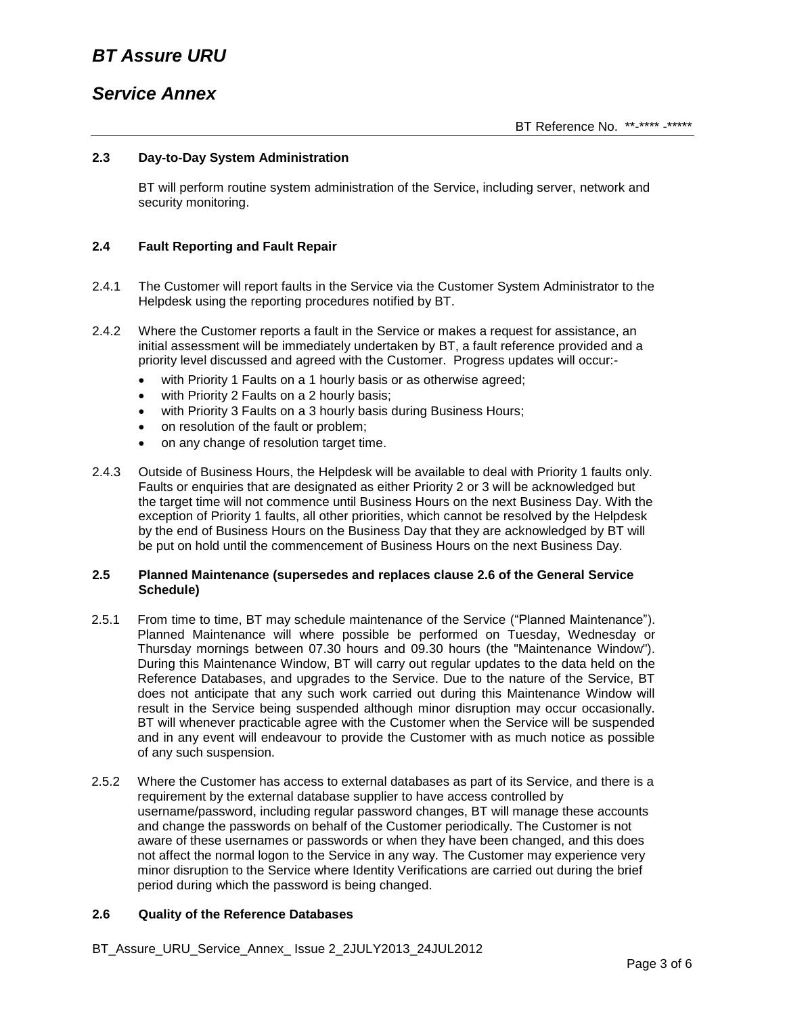# *Service Annex*

### **2.3 Day-to-Day System Administration**

BT will perform routine system administration of the Service, including server, network and security monitoring.

### **2.4 Fault Reporting and Fault Repair**

- 2.4.1 The Customer will report faults in the Service via the Customer System Administrator to the Helpdesk using the reporting procedures notified by BT.
- 2.4.2 Where the Customer reports a fault in the Service or makes a request for assistance, an initial assessment will be immediately undertaken by BT, a fault reference provided and a priority level discussed and agreed with the Customer. Progress updates will occur:-
	- with Priority 1 Faults on a 1 hourly basis or as otherwise agreed;
	- with Priority 2 Faults on a 2 hourly basis;
	- with Priority 3 Faults on a 3 hourly basis during Business Hours;
	- on resolution of the fault or problem:
	- on any change of resolution target time.
- 2.4.3 Outside of Business Hours, the Helpdesk will be available to deal with Priority 1 faults only. Faults or enquiries that are designated as either Priority 2 or 3 will be acknowledged but the target time will not commence until Business Hours on the next Business Day. With the exception of Priority 1 faults, all other priorities, which cannot be resolved by the Helpdesk by the end of Business Hours on the Business Day that they are acknowledged by BT will be put on hold until the commencement of Business Hours on the next Business Day.

#### **2.5 Planned Maintenance (supersedes and replaces clause 2.6 of the General Service Schedule)**

- 2.5.1 From time to time, BT may schedule maintenance of the Service ("Planned Maintenance"). Planned Maintenance will where possible be performed on Tuesday, Wednesday or Thursday mornings between 07.30 hours and 09.30 hours (the "Maintenance Window"). During this Maintenance Window, BT will carry out regular updates to the data held on the Reference Databases, and upgrades to the Service. Due to the nature of the Service, BT does not anticipate that any such work carried out during this Maintenance Window will result in the Service being suspended although minor disruption may occur occasionally. BT will whenever practicable agree with the Customer when the Service will be suspended and in any event will endeavour to provide the Customer with as much notice as possible of any such suspension.
- 2.5.2 Where the Customer has access to external databases as part of its Service, and there is a requirement by the external database supplier to have access controlled by username/password, including regular password changes, BT will manage these accounts and change the passwords on behalf of the Customer periodically. The Customer is not aware of these usernames or passwords or when they have been changed, and this does not affect the normal logon to the Service in any way. The Customer may experience very minor disruption to the Service where Identity Verifications are carried out during the brief period during which the password is being changed.

#### **2.6 Quality of the Reference Databases**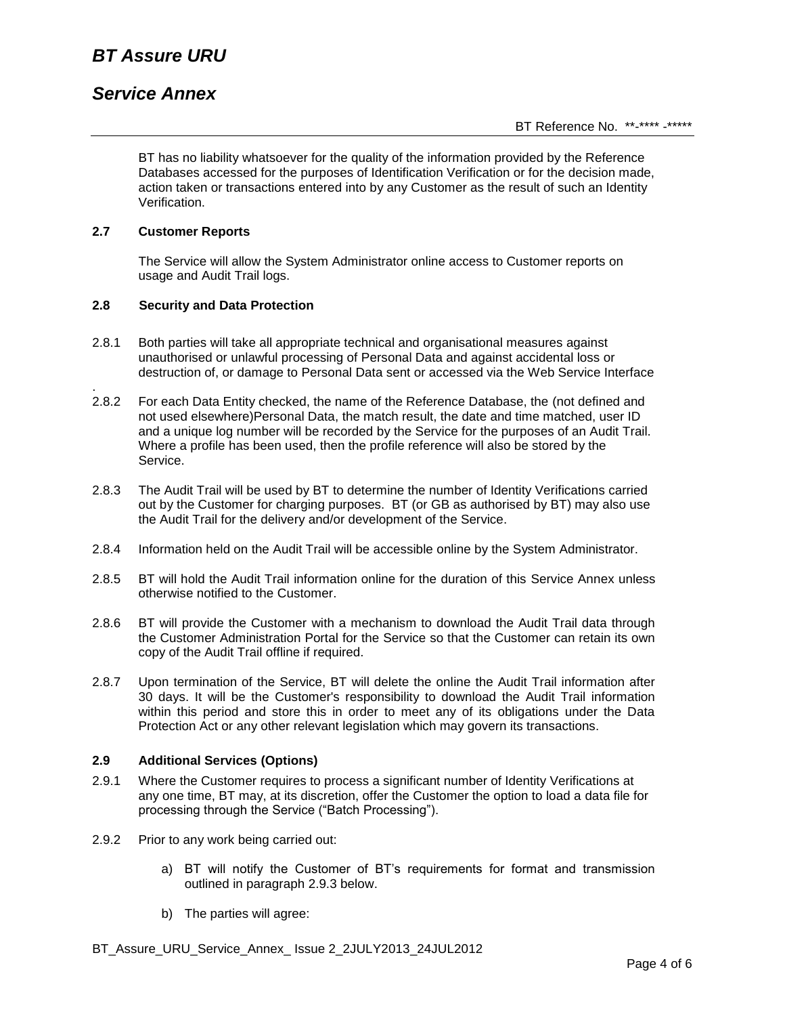## *Service Annex*

BT has no liability whatsoever for the quality of the information provided by the Reference Databases accessed for the purposes of Identification Verification or for the decision made, action taken or transactions entered into by any Customer as the result of such an Identity Verification.

## **2.7 Customer Reports**

.

The Service will allow the System Administrator online access to Customer reports on usage and Audit Trail logs.

### **2.8 Security and Data Protection**

- 2.8.1 Both parties will take all appropriate technical and organisational measures against unauthorised or unlawful processing of Personal Data and against accidental loss or destruction of, or damage to Personal Data sent or accessed via the Web Service Interface
- 2.8.2 For each Data Entity checked, the name of the Reference Database, the (not defined and not used elsewhere)Personal Data, the match result, the date and time matched, user ID and a unique log number will be recorded by the Service for the purposes of an Audit Trail. Where a profile has been used, then the profile reference will also be stored by the Service.
- 2.8.3 The Audit Trail will be used by BT to determine the number of Identity Verifications carried out by the Customer for charging purposes. BT (or GB as authorised by BT) may also use the Audit Trail for the delivery and/or development of the Service.
- 2.8.4 Information held on the Audit Trail will be accessible online by the System Administrator.
- 2.8.5 BT will hold the Audit Trail information online for the duration of this Service Annex unless otherwise notified to the Customer.
- 2.8.6 BT will provide the Customer with a mechanism to download the Audit Trail data through the Customer Administration Portal for the Service so that the Customer can retain its own copy of the Audit Trail offline if required.
- 2.8.7 Upon termination of the Service, BT will delete the online the Audit Trail information after 30 days. It will be the Customer's responsibility to download the Audit Trail information within this period and store this in order to meet any of its obligations under the Data Protection Act or any other relevant legislation which may govern its transactions.

#### **2.9 Additional Services (Options)**

- 2.9.1 Where the Customer requires to process a significant number of Identity Verifications at any one time, BT may, at its discretion, offer the Customer the option to load a data file for processing through the Service ("Batch Processing").
- 2.9.2 Prior to any work being carried out:
	- a) BT will notify the Customer of BT's requirements for format and transmission outlined in paragraph 2.9.3 below.
	- b) The parties will agree: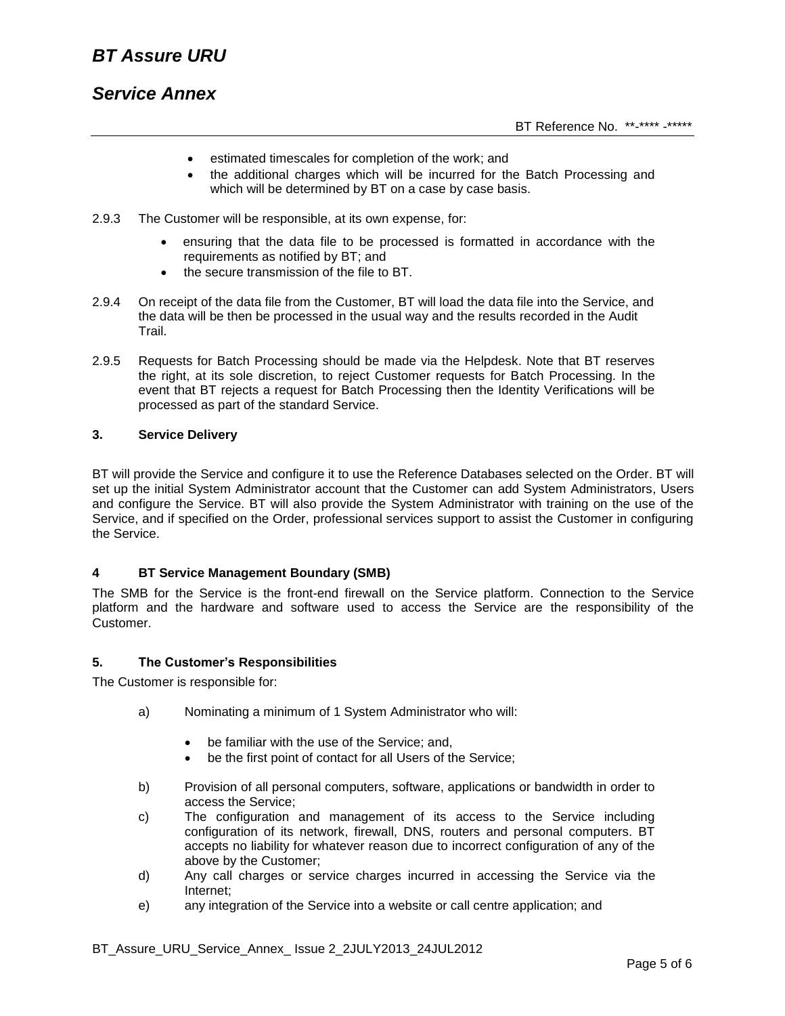# *BT Assure URU*

## *Service Annex*

- estimated timescales for completion of the work; and
- the additional charges which will be incurred for the Batch Processing and which will be determined by BT on a case by case basis.
- 2.9.3 The Customer will be responsible, at its own expense, for:
	- ensuring that the data file to be processed is formatted in accordance with the requirements as notified by BT; and
	- the secure transmission of the file to BT.
- 2.9.4 On receipt of the data file from the Customer, BT will load the data file into the Service, and the data will be then be processed in the usual way and the results recorded in the Audit Trail.
- 2.9.5 Requests for Batch Processing should be made via the Helpdesk. Note that BT reserves the right, at its sole discretion, to reject Customer requests for Batch Processing. In the event that BT rejects a request for Batch Processing then the Identity Verifications will be processed as part of the standard Service.

### **3. Service Delivery**

BT will provide the Service and configure it to use the Reference Databases selected on the Order. BT will set up the initial System Administrator account that the Customer can add System Administrators, Users and configure the Service. BT will also provide the System Administrator with training on the use of the Service, and if specified on the Order, professional services support to assist the Customer in configuring the Service.

## **4 BT Service Management Boundary (SMB)**

The SMB for the Service is the front-end firewall on the Service platform. Connection to the Service platform and the hardware and software used to access the Service are the responsibility of the Customer.

#### **5. The Customer's Responsibilities**

The Customer is responsible for:

- a) Nominating a minimum of 1 System Administrator who will:
	- be familiar with the use of the Service; and,
	- be the first point of contact for all Users of the Service;
- b) Provision of all personal computers, software, applications or bandwidth in order to access the Service;
- c) The configuration and management of its access to the Service including configuration of its network, firewall, DNS, routers and personal computers. BT accepts no liability for whatever reason due to incorrect configuration of any of the above by the Customer;
- d) Any call charges or service charges incurred in accessing the Service via the Internet;
- e) any integration of the Service into a website or call centre application; and